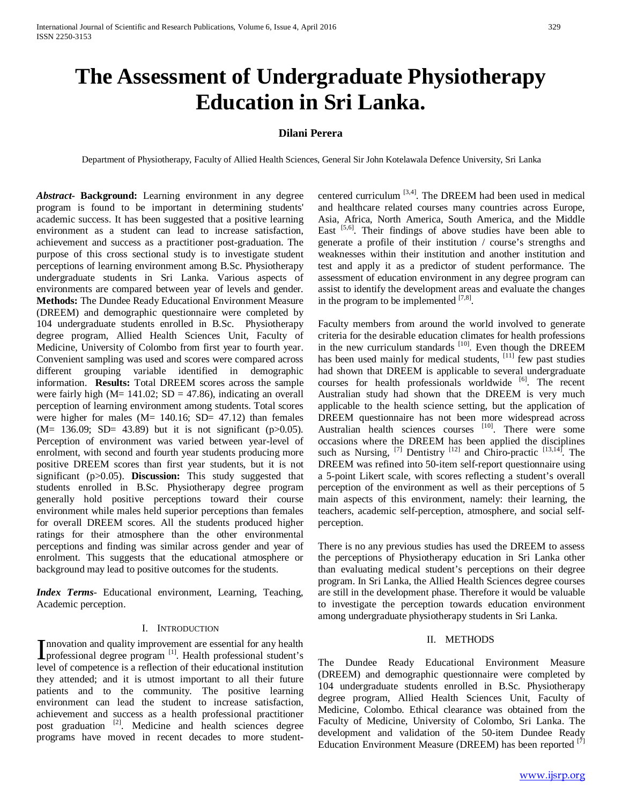# **The Assessment of Undergraduate Physiotherapy Education in Sri Lanka.**

# **Dilani Perera**

Department of Physiotherapy, Faculty of Allied Health Sciences, General Sir John Kotelawala Defence University, Sri Lanka

*Abstract***- Background:** Learning environment in any degree program is found to be important in determining students' academic success. It has been suggested that a positive learning environment as a student can lead to increase satisfaction, achievement and success as a practitioner post-graduation. The purpose of this cross sectional study is to investigate student perceptions of learning environment among B.Sc. Physiotherapy undergraduate students in Sri Lanka. Various aspects of environments are compared between year of levels and gender. **Methods:** The Dundee Ready Educational Environment Measure (DREEM) and demographic questionnaire were completed by 104 undergraduate students enrolled in B.Sc. Physiotherapy degree program, Allied Health Sciences Unit, Faculty of Medicine, University of Colombo from first year to fourth year. Convenient sampling was used and scores were compared across different grouping variable identified in demographic information. **Results:** Total DREEM scores across the sample were fairly high ( $M = 141.02$ ;  $SD = 47.86$ ), indicating an overall perception of learning environment among students. Total scores were higher for males (M= 140.16; SD= 47.12) than females  $(M= 136.09; SD= 43.89)$  but it is not significant (p $>0.05$ ). Perception of environment was varied between year-level of enrolment, with second and fourth year students producing more positive DREEM scores than first year students, but it is not significant (p>0.05). **Discussion:** This study suggested that students enrolled in B.Sc. Physiotherapy degree program generally hold positive perceptions toward their course environment while males held superior perceptions than females for overall DREEM scores. All the students produced higher ratings for their atmosphere than the other environmental perceptions and finding was similar across gender and year of enrolment. This suggests that the educational atmosphere or background may lead to positive outcomes for the students.

*Index Terms*- Educational environment, Learning, Teaching, Academic perception.

#### I. INTRODUCTION

nnovation and quality improvement are essential for any health Innovation and quality improvement are essential for any health<br>professional degree program <sup>[1]</sup>. Health professional student's level of competence is a reflection of their educational institution they attended; and it is utmost important to all their future patients and to the community. The positive learning environment can lead the student to increase satisfaction, achievement and success as a health professional practitioner post graduation <sup>[2]</sup>. Medicine and health sciences degree programs have moved in recent decades to more studentcentered curriculum  $[3,4]$ . The DREEM had been used in medical and healthcare related courses many countries across Europe, Asia, Africa, North America, South America, and the Middle East [5,6]. Their findings of above studies have been able to generate a profile of their institution / course's strengths and weaknesses within their institution and another institution and test and apply it as a predictor of student performance. The assessment of education environment in any degree program can assist to identify the development areas and evaluate the changes in the program to be implemented  $[7,8]$ .

Faculty members from around the world involved to generate criteria for the desirable education climates for health professions in the new curriculum standards  $[10]$ . Even though the DREEM has been used mainly for medical students,  $[11]$  few past studies had shown that DREEM is applicable to several undergraduate courses for health professionals worldwide [6]. The recent Australian study had shown that the DREEM is very much applicable to the health science setting, but the application of DREEM questionnaire has not been more widespread across Australian health sciences courses [10]. There were some occasions where the DREEM has been applied the disciplines such as Nursing,  $^{[7]}$  Dentistry  $^{[12]}$  and Chiro-practic  $^{[13,14]}$ . The DREEM was refined into 50-item self-report questionnaire using a 5-point Likert scale, with scores reflecting a student's overall perception of the environment as well as their perceptions of 5 main aspects of this environment, namely: their learning, the teachers, academic self-perception, atmosphere, and social selfperception.

There is no any previous studies has used the DREEM to assess the perceptions of Physiotherapy education in Sri Lanka other than evaluating medical student's perceptions on their degree program. In Sri Lanka, the Allied Health Sciences degree courses are still in the development phase. Therefore it would be valuable to investigate the perception towards education environment among undergraduate physiotherapy students in Sri Lanka.

### II. METHODS

The Dundee Ready Educational Environment Measure (DREEM) and demographic questionnaire were completed by 104 undergraduate students enrolled in B.Sc. Physiotherapy degree program, Allied Health Sciences Unit, Faculty of Medicine, Colombo. Ethical clearance was obtained from the Faculty of Medicine, University of Colombo, Sri Lanka. The development and validation of the 50-item Dundee Ready Education Environment Measure (DREEM) has been reported <sup>[7]</sup>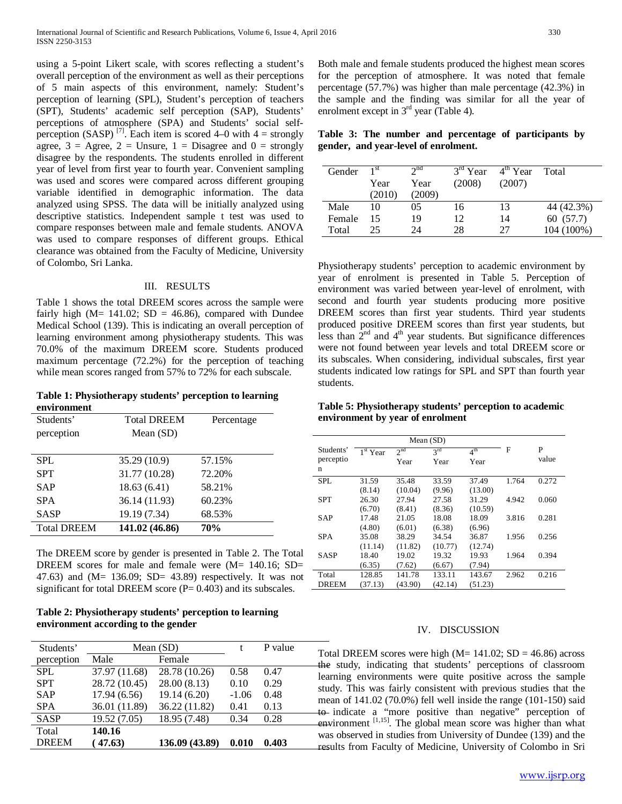using a 5-point Likert scale, with scores reflecting a student's overall perception of the environment as well as their perceptions of 5 main aspects of this environment, namely: Student's perception of learning (SPL), Student's perception of teachers (SPT), Students' academic self perception (SAP), Students' perceptions of atmosphere (SPA) and Students' social selfperception (SASP)<sup>[7]</sup>. Each item is scored 4–0 with 4 = strongly agree,  $3 = \text{Agree}$ ,  $2 = \text{Unsure}$ ,  $1 = \text{Disagree}$  and  $0 = \text{strongly}$ disagree by the respondents. The students enrolled in different year of level from first year to fourth year. Convenient sampling was used and scores were compared across different grouping variable identified in demographic information. The data analyzed using SPSS. The data will be initially analyzed using descriptive statistics. Independent sample t test was used to compare responses between male and female students. ANOVA was used to compare responses of different groups. Ethical clearance was obtained from the Faculty of Medicine, University of Colombo, Sri Lanka.

## III. RESULTS

Table 1 shows the total DREEM scores across the sample were fairly high ( $M = 141.02$ ;  $SD = 46.86$ ), compared with Dundee Medical School (139). This is indicating an overall perception of learning environment among physiotherapy students. This was 70.0% of the maximum DREEM score. Students produced maximum percentage (72.2%) for the perception of teaching while mean scores ranged from 57% to 72% for each subscale.

**Table 1: Physiotherapy students' perception to learning environment** 

| Students'          | <b>Total DREEM</b> | Percentage |
|--------------------|--------------------|------------|
| perception         | Mean $(SD)$        |            |
|                    |                    |            |
| <b>SPL</b>         | 35.29 (10.9)       | 57.15%     |
| <b>SPT</b>         | 31.77 (10.28)      | 72.20%     |
| <b>SAP</b>         | 18.63(6.41)        | 58.21%     |
| <b>SPA</b>         | 36.14 (11.93)      | 60.23%     |
| <b>SASP</b>        | 19.19 (7.34)       | 68.53%     |
| <b>Total DREEM</b> | 141.02 (46.86)     | 70%        |

The DREEM score by gender is presented in Table 2. The Total DREEM scores for male and female were  $(M= 140.16; SD=$ 47.63) and  $(M= 136.09; SD= 43.89)$  respectively. It was not significant for total DREEM score  $(P= 0.403)$  and its subscales.

## **Table 2: Physiotherapy students' perception to learning environment according to the gender**

| Students'    | Mean $(SD)$   |                |         | P value |
|--------------|---------------|----------------|---------|---------|
| perception   | Male          | Female         |         |         |
| <b>SPL</b>   | 37.97 (11.68) | 28.78 (10.26)  | 0.58    | 0.47    |
| <b>SPT</b>   | 28.72 (10.45) | 28.00 (8.13)   | 0.10    | 0.29    |
| <b>SAP</b>   | 17.94(6.56)   | 19.14 (6.20)   | $-1.06$ | 0.48    |
| <b>SPA</b>   | 36.01 (11.89) | 36.22 (11.82)  | 0.41    | 0.13    |
| <b>SASP</b>  | 19.52 (7.05)  | 18.95 (7.48)   | 0.34    | 0.28    |
| Total        | 140.16        |                |         |         |
| <b>DREEM</b> | (47.63)       | 136.09 (43.89) | 0.010   | 0.403   |

Both male and female students produced the highest mean scores for the perception of atmosphere. It was noted that female percentage (57.7%) was higher than male percentage (42.3%) in the sample and the finding was similar for all the year of enrolment except in  $3<sup>rd</sup>$  year (Table 4).

**Table 3: The number and percentage of participants by gender, and year-level of enrolment.**

| Gender | 1 <sup>st</sup> | $2^{nd}$ | $3rd$ Year | $4th$ Year | Total      |
|--------|-----------------|----------|------------|------------|------------|
|        | Year            | Year     | (2008)     | (2007)     |            |
|        | (2010)          | (2009)   |            |            |            |
| Male   | 10              | 05       | 16         | 13         | 44 (42.3%) |
| Female | 15              | 19       | 12         | 14         | 60 (57.7)  |
| Total  | 25              | 24       | 28         | 27         | 104 (100%) |

Physiotherapy students' perception to academic environment by year of enrolment is presented in Table 5. Perception of environment was varied between year-level of enrolment, with second and fourth year students producing more positive DREEM scores than first year students. Third year students produced positive DREEM scores than first year students, but less than  $2<sup>nd</sup>$  and  $4<sup>th</sup>$  year students. But significance differences were not found between year levels and total DREEM score or its subscales. When considering, individual subscales, first year students indicated low ratings for SPL and SPT than fourth year students.

## **Table 5: Physiotherapy students' perception to academic environment by year of enrolment**

| Mean (SD)    |            |                 |                 |                 |       |       |
|--------------|------------|-----------------|-----------------|-----------------|-------|-------|
| Students'    | $1st$ Year | 2 <sup>nd</sup> | $3^{\text{rd}}$ | $4^{\text{th}}$ | F     | P     |
| perceptio    |            | Year            | Year            | Year            |       | value |
| n            |            |                 |                 |                 |       |       |
| SPL.         | 31.59      | 35.48           | 33.59           | 37.49           | 1.764 | 0.272 |
|              | (8.14)     | (10.04)         | (9.96)          | (13.00)         |       |       |
| <b>SPT</b>   | 26.30      | 27.94           | 27.58           | 31.29           | 4.942 | 0.060 |
|              | (6.70)     | (8.41)          | (8.36)          | (10.59)         |       |       |
| SAP          | 17.48      | 21.05           | 18.08           | 18.09           | 3.816 | 0.281 |
|              | (4.80)     | (6.01)          | (6.38)          | (6.96)          |       |       |
| <b>SPA</b>   | 35.08      | 38.29           | 34.54           | 36.87           | 1.956 | 0.256 |
|              | (11.14)    | (11.82)         | (10.77)         | (12.74)         |       |       |
| <b>SASP</b>  | 18.40      | 19.02           | 19.32           | 19.93           | 1.964 | 0.394 |
|              | (6.35)     | (7.62)          | (6.67)          | (7.94)          |       |       |
| Total        | 128.85     | 141.78          | 133.11          | 143.67          | 2.962 | 0.216 |
| <b>DREEM</b> | (37.13)    | (43.90)         | (42.14)         | (51.23)         |       |       |

## IV. DISCUSSION

Total DREEM scores were high  $(M= 141.02; SD = 46.86)$  across the study, indicating that students' perceptions of classroom learning environments were quite positive across the sample study. This was fairly consistent with previous studies that the mean of 141.02 (70.0%) fell well inside the range (101-150) said to indicate a "more positive than negative" perception of environment  $[1,15]$ . The global mean score was higher than what was observed in studies from University of Dundee (139) and the results from Faculty of Medicine, University of Colombo in Sri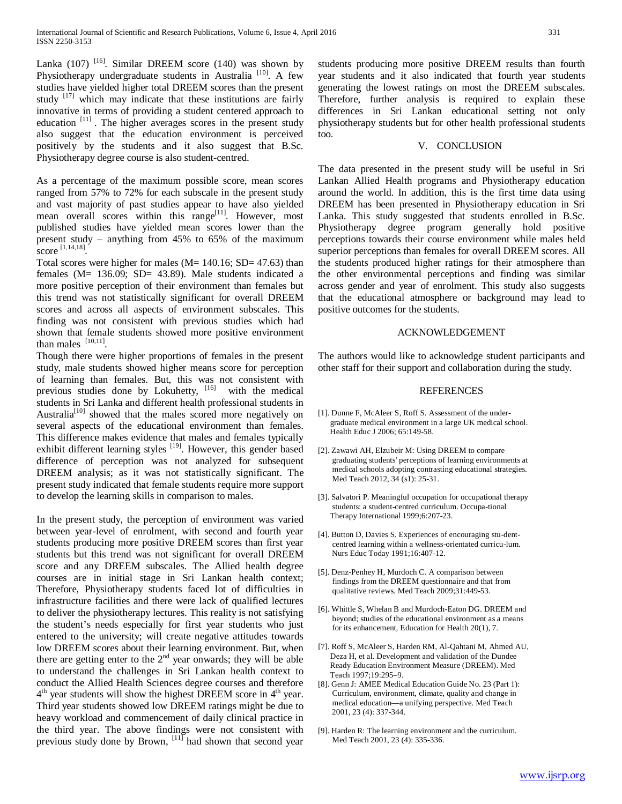Lanka  $(107)$ <sup>[16]</sup>. Similar DREEM score  $(140)$  was shown by Physiotherapy undergraduate students in Australia<sup>[10]</sup>. A few studies have yielded higher total DREEM scores than the present study  $[17]$  which may indicate that these institutions are fairly innovative in terms of providing a student centered approach to education  $[11]$ . The higher averages scores in the present study also suggest that the education environment is perceived positively by the students and it also suggest that B.Sc. Physiotherapy degree course is also student-centred.

As a percentage of the maximum possible score, mean scores ranged from 57% to 72% for each subscale in the present study and vast majority of past studies appear to have also yielded mean overall scores within this range<sup>[11]</sup>. However, most published studies have yielded mean scores lower than the present study – anything from 45% to 65% of the maximum score [1,14,18].

Total scores were higher for males ( $M= 140.16$ ;  $SD= 47.63$ ) than females (M= 136.09; SD= 43.89). Male students indicated a more positive perception of their environment than females but this trend was not statistically significant for overall DREEM scores and across all aspects of environment subscales. This finding was not consistent with previous studies which had shown that female students showed more positive environment than males  $[10,11]$ .

Though there were higher proportions of females in the present study, male students showed higher means score for perception of learning than females. But, this was not consistent with previous studies done by Lokuhetty, [16] with the medical students in Sri Lanka and different health professional students in Australia<sup>[10]</sup> showed that the males scored more negatively on several aspects of the educational environment than females. This difference makes evidence that males and females typically exhibit different learning styles [19]. However, this gender based difference of perception was not analyzed for subsequent DREEM analysis; as it was not statistically significant. The present study indicated that female students require more support to develop the learning skills in comparison to males.

In the present study, the perception of environment was varied between year-level of enrolment, with second and fourth year students producing more positive DREEM scores than first year students but this trend was not significant for overall DREEM score and any DREEM subscales. The Allied health degree courses are in initial stage in Sri Lankan health context; Therefore, Physiotherapy students faced lot of difficulties in infrastructure facilities and there were lack of qualified lectures to deliver the physiotherapy lectures. This reality is not satisfying the student's needs especially for first year students who just entered to the university; will create negative attitudes towards low DREEM scores about their learning environment. But, when there are getting enter to the  $2<sup>nd</sup>$  year onwards; they will be able to understand the challenges in Sri Lankan health context to conduct the Allied Health Sciences degree courses and therefore  $4<sup>th</sup>$  year students will show the highest DREEM score in  $4<sup>th</sup>$  year. Third year students showed low DREEM ratings might be due to heavy workload and commencement of daily clinical practice in the third year. The above findings were not consistent with previous study done by Brown,  $\left[11\right]$  had shown that second year

students producing more positive DREEM results than fourth year students and it also indicated that fourth year students generating the lowest ratings on most the DREEM subscales. Therefore, further analysis is required to explain these differences in Sri Lankan educational setting not only physiotherapy students but for other health professional students too.

## V. CONCLUSION

The data presented in the present study will be useful in Sri Lankan Allied Health programs and Physiotherapy education around the world. In addition, this is the first time data using DREEM has been presented in Physiotherapy education in Sri Lanka. This study suggested that students enrolled in B.Sc. Physiotherapy degree program generally hold positive perceptions towards their course environment while males held superior perceptions than females for overall DREEM scores. All the students produced higher ratings for their atmosphere than the other environmental perceptions and finding was similar across gender and year of enrolment. This study also suggests that the educational atmosphere or background may lead to positive outcomes for the students.

#### ACKNOWLEDGEMENT

The authors would like to acknowledge student participants and other staff for their support and collaboration during the study.

### REFERENCES

- [1]. Dunne F, McAleer S, Roff S. Assessment of the under graduate medical environment in a large UK medical school. Health Educ J 2006; 65:149-58.
- [2]. Zawawi AH, Elzubeir M: Using DREEM to compare graduating students' perceptions of learning environments at medical schools adopting contrasting educational strategies. Med Teach 2012, 34 (s1): 25-31.
- [3]. Salvatori P. Meaningful occupation for occupational therapy students: a student-centred curriculum. Occupa-tional Therapy International 1999;6:207-23.
- [4]. Button D, Davies S. Experiences of encouraging stu-dent centred learning within a wellness-orientated curricu-lum. Nurs Educ Today 1991;16:407-12.
- [5]. Denz-Penhey H, Murdoch C. A comparison between findings from the DREEM questionnaire and that from qualitative reviews. Med Teach 2009;31:449-53.
- [6]. Whittle S, Whelan B and Murdoch-Eaton DG. DREEM and beyond; studies of the educational environment as a means for its enhancement, Education for Health 20(1), 7.
- [7]. Roff S, McAleer S, Harden RM, Al-Qahtani M, Ahmed AU, Deza H, et al. Development and validation of the Dundee Ready Education Environment Measure (DREEM). Med Teach 1997;19:295–9.
- [8]. Genn J: AMEE Medical Education Guide No. 23 (Part 1): Curriculum, environment, climate, quality and change in medical education—a unifying perspective. Med Teach 2001, 23 (4): 337-344.
- [9]. Harden R: The learning environment and the curriculum. Med Teach 2001, 23 (4): 335-336.